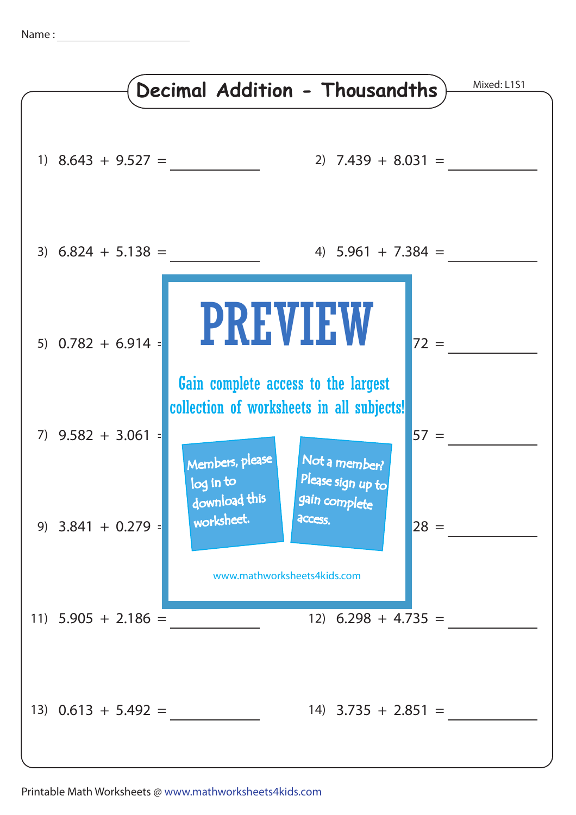